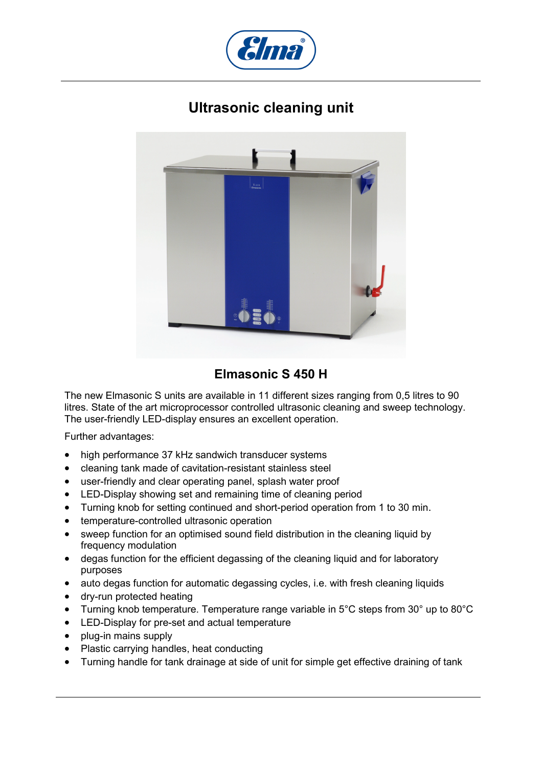

## **Ultrasonic cleaning unit**



## **Elmasonic S 450 H**

The new Elmasonic S units are available in 11 different sizes ranging from 0,5 litres to 90 litres. State of the art microprocessor controlled ultrasonic cleaning and sweep technology. The user-friendly LED-display ensures an excellent operation.

Further advantages:

- high performance 37 kHz sandwich transducer systems
- cleaning tank made of cavitation-resistant stainless steel
- user-friendly and clear operating panel, splash water proof
- LED-Display showing set and remaining time of cleaning period
- Turning knob for setting continued and short-period operation from 1 to 30 min.
- temperature-controlled ultrasonic operation
- sweep function for an optimised sound field distribution in the cleaning liquid by frequency modulation
- degas function for the efficient degassing of the cleaning liquid and for laboratory purposes
- auto degas function for automatic degassing cycles, i.e. with fresh cleaning liquids
- dry-run protected heating
- Turning knob temperature. Temperature range variable in 5°C steps from 30° up to 80°C
- LED-Display for pre-set and actual temperature
- plug-in mains supply
- Plastic carrying handles, heat conducting
- Turning handle for tank drainage at side of unit for simple get effective draining of tank